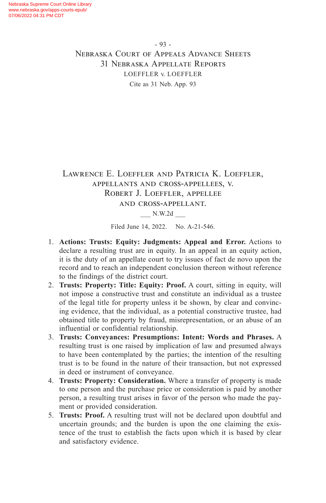## Lawrence E. Loeffler and Patricia K. Loeffler, appellants and cross-appellees, v. Robert J. Loeffler, appellee and cross-appellant.

\_\_\_ N.W.2d \_\_\_

Filed June 14, 2022. No. A-21-546.

- 1. **Actions: Trusts: Equity: Judgments: Appeal and Error.** Actions to declare a resulting trust are in equity. In an appeal in an equity action, it is the duty of an appellate court to try issues of fact de novo upon the record and to reach an independent conclusion thereon without reference to the findings of the district court.
- 2. **Trusts: Property: Title: Equity: Proof.** A court, sitting in equity, will not impose a constructive trust and constitute an individual as a trustee of the legal title for property unless it be shown, by clear and convincing evidence, that the individual, as a potential constructive trustee, had obtained title to property by fraud, misrepresentation, or an abuse of an influential or confidential relationship.
- 3. **Trusts: Conveyances: Presumptions: Intent: Words and Phrases.** A resulting trust is one raised by implication of law and presumed always to have been contemplated by the parties; the intention of the resulting trust is to be found in the nature of their transaction, but not expressed in deed or instrument of conveyance.
- 4. **Trusts: Property: Consideration.** Where a transfer of property is made to one person and the purchase price or consideration is paid by another person, a resulting trust arises in favor of the person who made the payment or provided consideration.
- 5. **Trusts: Proof.** A resulting trust will not be declared upon doubtful and uncertain grounds; and the burden is upon the one claiming the existence of the trust to establish the facts upon which it is based by clear and satisfactory evidence.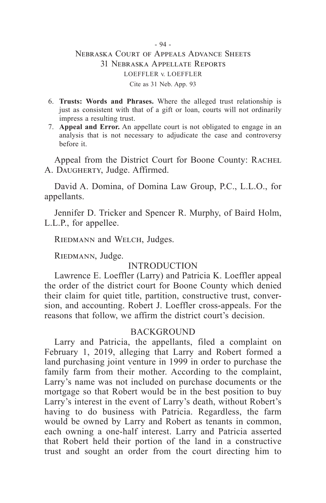- 6. **Trusts: Words and Phrases.** Where the alleged trust relationship is just as consistent with that of a gift or loan, courts will not ordinarily impress a resulting trust.
- 7. **Appeal and Error.** An appellate court is not obligated to engage in an analysis that is not necessary to adjudicate the case and controversy before it.

Appeal from the District Court for Boone County: RACHEL A. DAUGHERTY, Judge. Affirmed.

David A. Domina, of Domina Law Group, P.C., L.L.O., for appellants.

Jennifer D. Tricker and Spencer R. Murphy, of Baird Holm, L.L.P., for appellee.

RIEDMANN and WELCH, Judges.

RIEDMANN, Judge.

### **INTRODUCTION**

Lawrence E. Loeffler (Larry) and Patricia K. Loeffler appeal the order of the district court for Boone County which denied their claim for quiet title, partition, constructive trust, conversion, and accounting. Robert J. Loeffler cross-appeals. For the reasons that follow, we affirm the district court's decision.

#### **BACKGROUND**

Larry and Patricia, the appellants, filed a complaint on February 1, 2019, alleging that Larry and Robert formed a land purchasing joint venture in 1999 in order to purchase the family farm from their mother. According to the complaint, Larry's name was not included on purchase documents or the mortgage so that Robert would be in the best position to buy Larry's interest in the event of Larry's death, without Robert's having to do business with Patricia. Regardless, the farm would be owned by Larry and Robert as tenants in common, each owning a one-half interest. Larry and Patricia asserted that Robert held their portion of the land in a constructive trust and sought an order from the court directing him to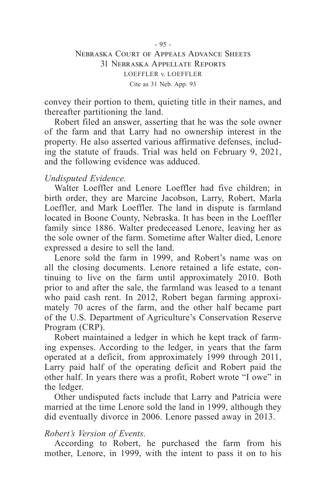convey their portion to them, quieting title in their names, and thereafter partitioning the land.

Robert filed an answer, asserting that he was the sole owner of the farm and that Larry had no ownership interest in the property. He also asserted various affirmative defenses, including the statute of frauds. Trial was held on February 9, 2021, and the following evidence was adduced.

## *Undisputed Evidence.*

Walter Loeffler and Lenore Loeffler had five children; in birth order, they are Marcine Jacobson, Larry, Robert, Marla Loeffler, and Mark Loeffler. The land in dispute is farmland located in Boone County, Nebraska. It has been in the Loeffler family since 1886. Walter predeceased Lenore, leaving her as the sole owner of the farm. Sometime after Walter died, Lenore expressed a desire to sell the land.

Lenore sold the farm in 1999, and Robert's name was on all the closing documents. Lenore retained a life estate, continuing to live on the farm until approximately 2010. Both prior to and after the sale, the farmland was leased to a tenant who paid cash rent. In 2012, Robert began farming approximately 70 acres of the farm, and the other half became part of the U.S. Department of Agriculture's Conservation Reserve Program (CRP).

Robert maintained a ledger in which he kept track of farming expenses. According to the ledger, in years that the farm operated at a deficit, from approximately 1999 through 2011, Larry paid half of the operating deficit and Robert paid the other half. In years there was a profit, Robert wrote "I owe" in the ledger.

Other undisputed facts include that Larry and Patricia were married at the time Lenore sold the land in 1999, although they did eventually divorce in 2006. Lenore passed away in 2013.

#### *Robert's Version of Events.*

According to Robert, he purchased the farm from his mother, Lenore, in 1999, with the intent to pass it on to his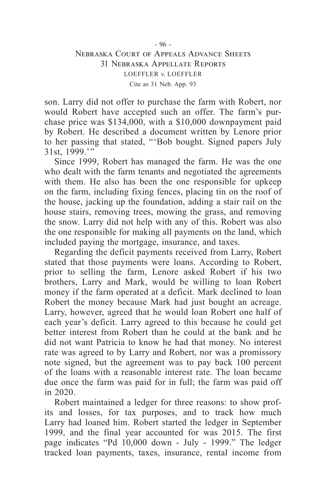son. Larry did not offer to purchase the farm with Robert, nor would Robert have accepted such an offer. The farm's purchase price was \$134,000, with a \$10,000 downpayment paid by Robert. He described a document written by Lenore prior to her passing that stated, "'Bob bought. Signed papers July 31st, 1999.'"

Since 1999, Robert has managed the farm. He was the one who dealt with the farm tenants and negotiated the agreements with them. He also has been the one responsible for upkeep on the farm, including fixing fences, placing tin on the roof of the house, jacking up the foundation, adding a stair rail on the house stairs, removing trees, mowing the grass, and removing the snow. Larry did not help with any of this. Robert was also the one responsible for making all payments on the land, which included paying the mortgage, insurance, and taxes.

Regarding the deficit payments received from Larry, Robert stated that those payments were loans. According to Robert, prior to selling the farm, Lenore asked Robert if his two brothers, Larry and Mark, would be willing to loan Robert money if the farm operated at a deficit. Mark declined to loan Robert the money because Mark had just bought an acreage. Larry, however, agreed that he would loan Robert one half of each year's deficit. Larry agreed to this because he could get better interest from Robert than he could at the bank and he did not want Patricia to know he had that money. No interest rate was agreed to by Larry and Robert, nor was a promissory note signed, but the agreement was to pay back 100 percent of the loans with a reasonable interest rate. The loan became due once the farm was paid for in full; the farm was paid off in 2020.

Robert maintained a ledger for three reasons: to show profits and losses, for tax purposes, and to track how much Larry had loaned him. Robert started the ledger in September 1999, and the final year accounted for was 2015. The first page indicates "Pd 10,000 down - July - 1999." The ledger tracked loan payments, taxes, insurance, rental income from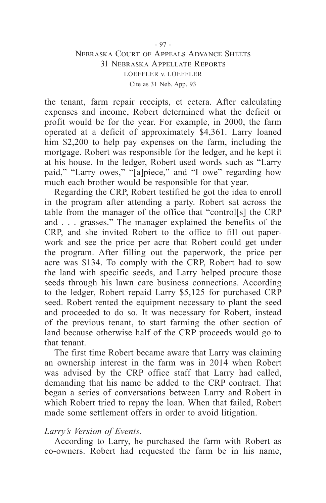the tenant, farm repair receipts, et cetera. After calculating expenses and income, Robert determined what the deficit or profit would be for the year. For example, in 2000, the farm operated at a deficit of approximately \$4,361. Larry loaned him \$2,200 to help pay expenses on the farm, including the mortgage. Robert was responsible for the ledger, and he kept it at his house. In the ledger, Robert used words such as "Larry paid," "Larry owes," "[a]piece," and "I owe" regarding how much each brother would be responsible for that year.

Regarding the CRP, Robert testified he got the idea to enroll in the program after attending a party. Robert sat across the table from the manager of the office that "control[s] the CRP and . . . grasses." The manager explained the benefits of the CRP, and she invited Robert to the office to fill out paperwork and see the price per acre that Robert could get under the program. After filling out the paperwork, the price per acre was \$134. To comply with the CRP, Robert had to sow the land with specific seeds, and Larry helped procure those seeds through his lawn care business connections. According to the ledger, Robert repaid Larry \$5,125 for purchased CRP seed. Robert rented the equipment necessary to plant the seed and proceeded to do so. It was necessary for Robert, instead of the previous tenant, to start farming the other section of land because otherwise half of the CRP proceeds would go to that tenant.

The first time Robert became aware that Larry was claiming an ownership interest in the farm was in 2014 when Robert was advised by the CRP office staff that Larry had called, demanding that his name be added to the CRP contract. That began a series of conversations between Larry and Robert in which Robert tried to repay the loan. When that failed, Robert made some settlement offers in order to avoid litigation.

#### *Larry's Version of Events.*

According to Larry, he purchased the farm with Robert as co-owners. Robert had requested the farm be in his name,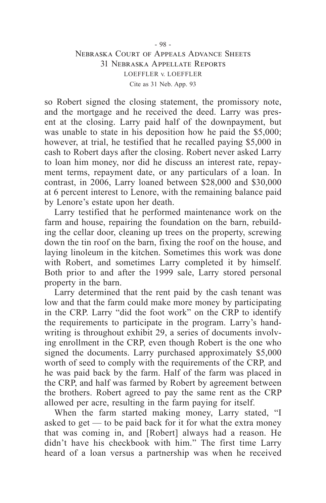so Robert signed the closing statement, the promissory note, and the mortgage and he received the deed. Larry was present at the closing. Larry paid half of the downpayment, but was unable to state in his deposition how he paid the \$5,000; however, at trial, he testified that he recalled paying \$5,000 in cash to Robert days after the closing. Robert never asked Larry to loan him money, nor did he discuss an interest rate, repayment terms, repayment date, or any particulars of a loan. In contrast, in 2006, Larry loaned between \$28,000 and \$30,000 at 6 percent interest to Lenore, with the remaining balance paid by Lenore's estate upon her death.

Larry testified that he performed maintenance work on the farm and house, repairing the foundation on the barn, rebuilding the cellar door, cleaning up trees on the property, screwing down the tin roof on the barn, fixing the roof on the house, and laying linoleum in the kitchen. Sometimes this work was done with Robert, and sometimes Larry completed it by himself. Both prior to and after the 1999 sale, Larry stored personal property in the barn.

Larry determined that the rent paid by the cash tenant was low and that the farm could make more money by participating in the CRP. Larry "did the foot work" on the CRP to identify the requirements to participate in the program. Larry's handwriting is throughout exhibit 29, a series of documents involving enrollment in the CRP, even though Robert is the one who signed the documents. Larry purchased approximately \$5,000 worth of seed to comply with the requirements of the CRP, and he was paid back by the farm. Half of the farm was placed in the CRP, and half was farmed by Robert by agreement between the brothers. Robert agreed to pay the same rent as the CRP allowed per acre, resulting in the farm paying for itself.

When the farm started making money, Larry stated, "I asked to get — to be paid back for it for what the extra money that was coming in, and [Robert] always had a reason. He didn't have his checkbook with him." The first time Larry heard of a loan versus a partnership was when he received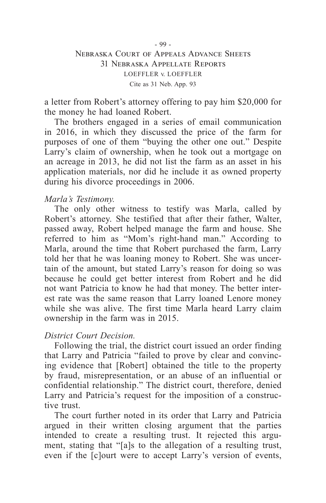a letter from Robert's attorney offering to pay him \$20,000 for the money he had loaned Robert.

The brothers engaged in a series of email communication in 2016, in which they discussed the price of the farm for purposes of one of them "buying the other one out." Despite Larry's claim of ownership, when he took out a mortgage on an acreage in 2013, he did not list the farm as an asset in his application materials, nor did he include it as owned property during his divorce proceedings in 2006.

#### *Marla's Testimony.*

The only other witness to testify was Marla, called by Robert's attorney. She testified that after their father, Walter, passed away, Robert helped manage the farm and house. She referred to him as "Mom's right-hand man." According to Marla, around the time that Robert purchased the farm, Larry told her that he was loaning money to Robert. She was uncertain of the amount, but stated Larry's reason for doing so was because he could get better interest from Robert and he did not want Patricia to know he had that money. The better interest rate was the same reason that Larry loaned Lenore money while she was alive. The first time Marla heard Larry claim ownership in the farm was in 2015.

#### *District Court Decision.*

Following the trial, the district court issued an order finding that Larry and Patricia "failed to prove by clear and convincing evidence that [Robert] obtained the title to the property by fraud, misrepresentation, or an abuse of an influential or confidential relationship." The district court, therefore, denied Larry and Patricia's request for the imposition of a constructive trust.

The court further noted in its order that Larry and Patricia argued in their written closing argument that the parties intended to create a resulting trust. It rejected this argument, stating that "[a]s to the allegation of a resulting trust, even if the [c]ourt were to accept Larry's version of events,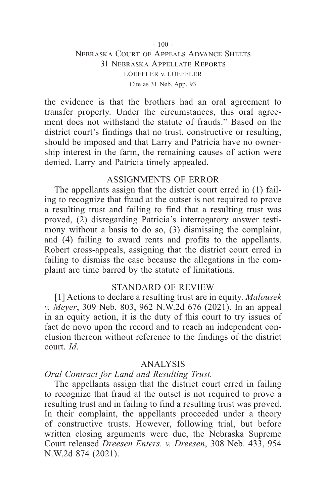the evidence is that the brothers had an oral agreement to transfer property. Under the circumstances, this oral agreement does not withstand the statute of frauds." Based on the district court's findings that no trust, constructive or resulting, should be imposed and that Larry and Patricia have no ownership interest in the farm, the remaining causes of action were denied. Larry and Patricia timely appealed.

#### ASSIGNMENTS OF ERROR

The appellants assign that the district court erred in (1) failing to recognize that fraud at the outset is not required to prove a resulting trust and failing to find that a resulting trust was proved, (2) disregarding Patricia's interrogatory answer testimony without a basis to do so, (3) dismissing the complaint, and (4) failing to award rents and profits to the appellants. Robert cross-appeals, assigning that the district court erred in failing to dismiss the case because the allegations in the complaint are time barred by the statute of limitations.

#### STANDARD OF REVIEW

[1] Actions to declare a resulting trust are in equity. *Malousek v. Meyer*, 309 Neb. 803, 962 N.W.2d 676 (2021). In an appeal in an equity action, it is the duty of this court to try issues of fact de novo upon the record and to reach an independent conclusion thereon without reference to the findings of the district court. *Id*.

#### ANALYSIS

#### *Oral Contract for Land and Resulting Trust.*

The appellants assign that the district court erred in failing to recognize that fraud at the outset is not required to prove a resulting trust and in failing to find a resulting trust was proved. In their complaint, the appellants proceeded under a theory of constructive trusts. However, following trial, but before written closing arguments were due, the Nebraska Supreme Court released *Dreesen Enters. v. Dreesen*, 308 Neb. 433, 954 N.W.2d 874 (2021).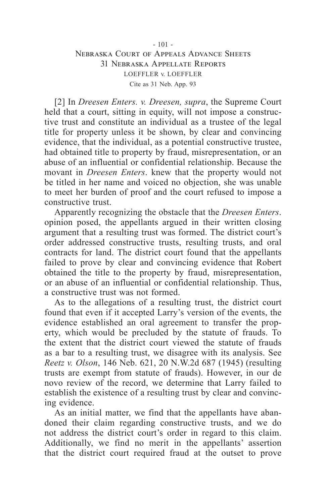[2] In *Dreesen Enters. v. Dreesen, supra*, the Supreme Court held that a court, sitting in equity, will not impose a constructive trust and constitute an individual as a trustee of the legal title for property unless it be shown, by clear and convincing evidence, that the individual, as a potential constructive trustee, had obtained title to property by fraud, misrepresentation, or an abuse of an influential or confidential relationship. Because the movant in *Dreesen Enters*. knew that the property would not be titled in her name and voiced no objection, she was unable to meet her burden of proof and the court refused to impose a constructive trust.

Apparently recognizing the obstacle that the *Dreesen Enters*. opinion posed, the appellants argued in their written closing argument that a resulting trust was formed. The district court's order addressed constructive trusts, resulting trusts, and oral contracts for land. The district court found that the appellants failed to prove by clear and convincing evidence that Robert obtained the title to the property by fraud, misrepresentation, or an abuse of an influential or confidential relationship. Thus, a constructive trust was not formed.

As to the allegations of a resulting trust, the district court found that even if it accepted Larry's version of the events, the evidence established an oral agreement to transfer the property, which would be precluded by the statute of frauds. To the extent that the district court viewed the statute of frauds as a bar to a resulting trust, we disagree with its analysis. See *Reetz v. Olson*, 146 Neb. 621, 20 N.W.2d 687 (1945) (resulting trusts are exempt from statute of frauds). However, in our de novo review of the record, we determine that Larry failed to establish the existence of a resulting trust by clear and convincing evidence.

As an initial matter, we find that the appellants have abandoned their claim regarding constructive trusts, and we do not address the district court's order in regard to this claim. Additionally, we find no merit in the appellants' assertion that the district court required fraud at the outset to prove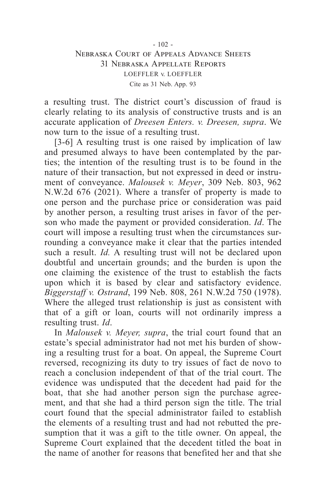a resulting trust. The district court's discussion of fraud is clearly relating to its analysis of constructive trusts and is an accurate application of *Dreesen Enters. v. Dreesen, supra*. We now turn to the issue of a resulting trust.

[3-6] A resulting trust is one raised by implication of law and presumed always to have been contemplated by the parties; the intention of the resulting trust is to be found in the nature of their transaction, but not expressed in deed or instrument of conveyance. *Malousek v. Meyer*, 309 Neb. 803, 962 N.W.2d 676 (2021). Where a transfer of property is made to one person and the purchase price or consideration was paid by another person, a resulting trust arises in favor of the person who made the payment or provided consideration. *Id*. The court will impose a resulting trust when the circumstances surrounding a conveyance make it clear that the parties intended such a result. *Id.* A resulting trust will not be declared upon doubtful and uncertain grounds; and the burden is upon the one claiming the existence of the trust to establish the facts upon which it is based by clear and satisfactory evidence. *Biggerstaff v. Ostrand*, 199 Neb. 808, 261 N.W.2d 750 (1978). Where the alleged trust relationship is just as consistent with that of a gift or loan, courts will not ordinarily impress a resulting trust. *Id*.

In *Malousek v. Meyer, supra*, the trial court found that an estate's special administrator had not met his burden of showing a resulting trust for a boat. On appeal, the Supreme Court reversed, recognizing its duty to try issues of fact de novo to reach a conclusion independent of that of the trial court. The evidence was undisputed that the decedent had paid for the boat, that she had another person sign the purchase agreement, and that she had a third person sign the title. The trial court found that the special administrator failed to establish the elements of a resulting trust and had not rebutted the presumption that it was a gift to the title owner. On appeal, the Supreme Court explained that the decedent titled the boat in the name of another for reasons that benefited her and that she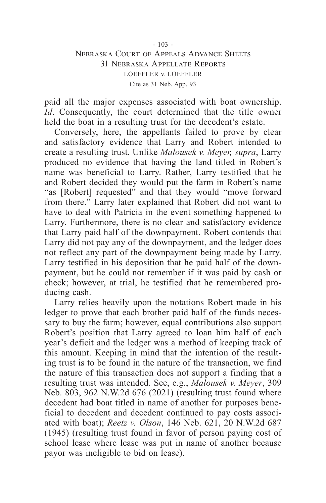paid all the major expenses associated with boat ownership. *Id*. Consequently, the court determined that the title owner held the boat in a resulting trust for the decedent's estate.

Conversely, here, the appellants failed to prove by clear and satisfactory evidence that Larry and Robert intended to create a resulting trust. Unlike *Malousek v. Meyer, supra*, Larry produced no evidence that having the land titled in Robert's name was beneficial to Larry. Rather, Larry testified that he and Robert decided they would put the farm in Robert's name "as [Robert] requested" and that they would "move forward from there." Larry later explained that Robert did not want to have to deal with Patricia in the event something happened to Larry. Furthermore, there is no clear and satisfactory evidence that Larry paid half of the downpayment. Robert contends that Larry did not pay any of the downpayment, and the ledger does not reflect any part of the downpayment being made by Larry. Larry testified in his deposition that he paid half of the downpayment, but he could not remember if it was paid by cash or check; however, at trial, he testified that he remembered producing cash.

Larry relies heavily upon the notations Robert made in his ledger to prove that each brother paid half of the funds necessary to buy the farm; however, equal contributions also support Robert's position that Larry agreed to loan him half of each year's deficit and the ledger was a method of keeping track of this amount. Keeping in mind that the intention of the resulting trust is to be found in the nature of the transaction, we find the nature of this transaction does not support a finding that a resulting trust was intended. See, e.g., *Malousek v. Meyer*, 309 Neb. 803, 962 N.W.2d 676 (2021) (resulting trust found where decedent had boat titled in name of another for purposes beneficial to decedent and decedent continued to pay costs associated with boat); *Reetz v. Olson*, 146 Neb. 621, 20 N.W.2d 687 (1945) (resulting trust found in favor of person paying cost of school lease where lease was put in name of another because payor was ineligible to bid on lease).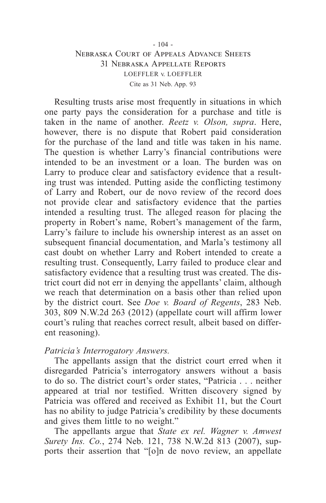Resulting trusts arise most frequently in situations in which one party pays the consideration for a purchase and title is taken in the name of another. *Reetz v. Olson, supra*. Here, however, there is no dispute that Robert paid consideration for the purchase of the land and title was taken in his name. The question is whether Larry's financial contributions were intended to be an investment or a loan. The burden was on Larry to produce clear and satisfactory evidence that a resulting trust was intended. Putting aside the conflicting testimony of Larry and Robert, our de novo review of the record does not provide clear and satisfactory evidence that the parties intended a resulting trust. The alleged reason for placing the property in Robert's name, Robert's management of the farm, Larry's failure to include his ownership interest as an asset on subsequent financial documentation, and Marla's testimony all cast doubt on whether Larry and Robert intended to create a resulting trust. Consequently, Larry failed to produce clear and satisfactory evidence that a resulting trust was created. The district court did not err in denying the appellants' claim, although we reach that determination on a basis other than relied upon by the district court. See *Doe v. Board of Regents*, 283 Neb. 303, 809 N.W.2d 263 (2012) (appellate court will affirm lower court's ruling that reaches correct result, albeit based on different reasoning).

#### *Patricia's Interrogatory Answers.*

The appellants assign that the district court erred when it disregarded Patricia's interrogatory answers without a basis to do so. The district court's order states, "Patricia . . . neither appeared at trial nor testified. Written discovery signed by Patricia was offered and received as Exhibit 11, but the Court has no ability to judge Patricia's credibility by these documents and gives them little to no weight."

The appellants argue that *State ex rel. Wagner v. Amwest Surety Ins. Co.*, 274 Neb. 121, 738 N.W.2d 813 (2007), supports their assertion that "[o]n de novo review, an appellate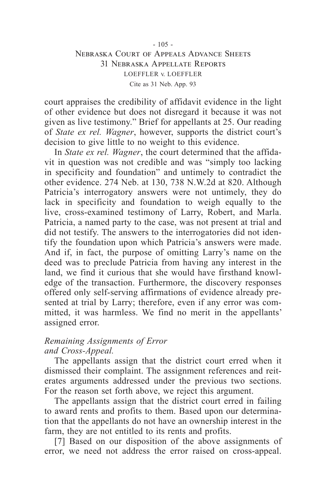court appraises the credibility of affidavit evidence in the light of other evidence but does not disregard it because it was not given as live testimony." Brief for appellants at 25. Our reading of *State ex rel. Wagner*, however, supports the district court's decision to give little to no weight to this evidence.

In *State ex rel. Wagner*, the court determined that the affidavit in question was not credible and was "simply too lacking in specificity and foundation" and untimely to contradict the other evidence. 274 Neb. at 130, 738 N.W.2d at 820. Although Patricia's interrogatory answers were not untimely, they do lack in specificity and foundation to weigh equally to the live, cross-examined testimony of Larry, Robert, and Marla. Patricia, a named party to the case, was not present at trial and did not testify. The answers to the interrogatories did not identify the foundation upon which Patricia's answers were made. And if, in fact, the purpose of omitting Larry's name on the deed was to preclude Patricia from having any interest in the land, we find it curious that she would have firsthand knowledge of the transaction. Furthermore, the discovery responses offered only self-serving affirmations of evidence already presented at trial by Larry; therefore, even if any error was committed, it was harmless. We find no merit in the appellants' assigned error.

#### *Remaining Assignments of Error and Cross-Appeal.*

The appellants assign that the district court erred when it dismissed their complaint. The assignment references and reiterates arguments addressed under the previous two sections. For the reason set forth above, we reject this argument.

The appellants assign that the district court erred in failing to award rents and profits to them. Based upon our determination that the appellants do not have an ownership interest in the farm, they are not entitled to its rents and profits.

[7] Based on our disposition of the above assignments of error, we need not address the error raised on cross-appeal.